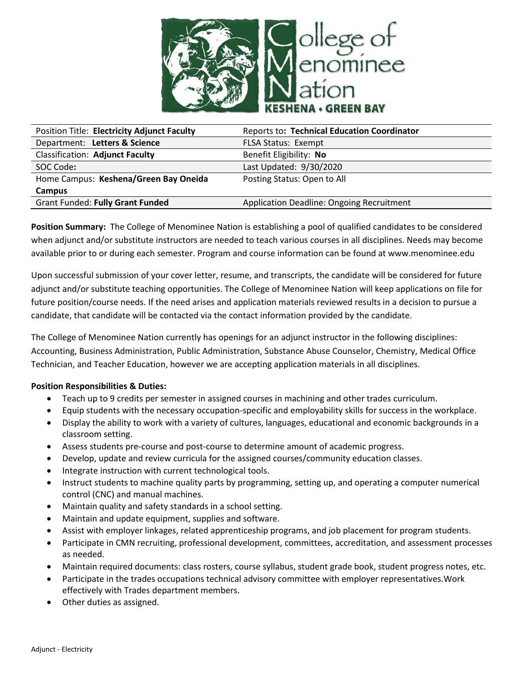

| <b>Position Title: Electricity Adjunct Faculty</b> | <b>Reports to: Technical Education Coordinator</b> |
|----------------------------------------------------|----------------------------------------------------|
| Department: Letters & Science                      | <b>FLSA Status: Exempt</b>                         |
| <b>Classification: Adjunct Faculty</b>             | Benefit Eligibility: No                            |
| SOC Code:                                          | Last Updated: 9/30/2020                            |
| Home Campus: Keshena/Green Bay Oneida              | Posting Status: Open to All                        |
| Campus                                             |                                                    |
| <b>Grant Funded: Fully Grant Funded</b>            | <b>Application Deadline: Ongoing Recruitment</b>   |

**Position Summary:** The College of Menominee Nation is establishing a pool of qualified candidates to be considered when adjunct and/or substitute instructors are needed to teach various courses in all disciplines. Needs may become available prior to or during each semester. Program and course information can be found at www.menominee.edu

Upon successful submission of your cover letter, resume, and transcripts, the candidate will be considered for future adjunct and/or substitute teaching opportunities. The College of Menominee Nation will keep applications on file for future position/course needs. If the need arises and application materials reviewed results in a decision to pursue a candidate, that candidate will be contacted via the contact information provided by the candidate.

The College of Menominee Nation currently has openings for an adjunct instructor in the following disciplines: Accounting, Business Administration, Public Administration, Substance Abuse Counselor, Chemistry, Medical Office Technician, and Teacher Education, however we are accepting application materials in all disciplines.

# **Position Responsibilities & Duties:**

- Teach up to 9 credits per semester in assigned courses in machining and other trades curriculum.
- Equip students with the necessary occupation-specific and employability skills for success in the workplace.
- Display the ability to work with a variety of cultures, languages, educational and economic backgrounds in a classroom setting.
- Assess students pre-course and post-course to determine amount of academic progress.
- Develop, update and review curricula for the assigned courses/community education classes.
- Integrate instruction with current technological tools.
- Instruct students to machine quality parts by programming, setting up, and operating a computer numerical control (CNC) and manual machines.
- Maintain quality and safety standards in a school setting.
- Maintain and update equipment, supplies and software.
- Assist with employer linkages, related apprenticeship programs, and job placement for program students.
- Participate in CMN recruiting, professional development, committees, accreditation, and assessment processes as needed.
- Maintain required documents: class rosters, course syllabus, student grade book, student progress notes, etc.
- Participate in the trades occupations technical advisory committee with employer representatives.Work effectively with Trades department members.
- Other duties as assigned.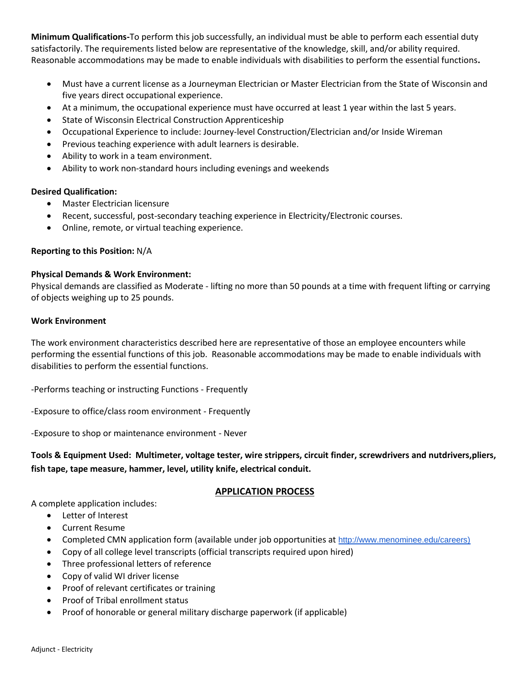**Minimum Qualifications-**To perform this job successfully, an individual must be able to perform each essential duty satisfactorily. The requirements listed below are representative of the knowledge, skill, and/or ability required. Reasonable accommodations may be made to enable individuals with disabilities to perform the essential functions**.**

- Must have a current license as a Journeyman Electrician or Master Electrician from the State of Wisconsin and five years direct occupational experience.
- At a minimum, the occupational experience must have occurred at least 1 year within the last 5 years.
- State of Wisconsin Electrical Construction Apprenticeship
- Occupational Experience to include: Journey-level Construction/Electrician and/or Inside Wireman
- Previous teaching experience with adult learners is desirable.
- Ability to work in a team environment.
- Ability to work non-standard hours including evenings and weekends

# **Desired Qualification:**

- Master Electrician licensure
- Recent, successful, post-secondary teaching experience in Electricity/Electronic courses.
- Online, remote, or virtual teaching experience.

# **Reporting to this Position:** N/A

### **Physical Demands & Work Environment:**

Physical demands are classified as Moderate - lifting no more than 50 pounds at a time with frequent lifting or carrying of objects weighing up to 25 pounds.

### **Work Environment**

The work environment characteristics described here are representative of those an employee encounters while performing the essential functions of this job. Reasonable accommodations may be made to enable individuals with disabilities to perform the essential functions.

-Performs teaching or instructing Functions - Frequently

-Exposure to office/class room environment - Frequently

-Exposure to shop or maintenance environment - Never

**Tools & Equipment Used: Multimeter, voltage tester, wire strippers, circuit finder, screwdrivers and nutdrivers,pliers, fish tape, tape measure, hammer, level, utility knife, electrical conduit.**

# **APPLICATION PROCESS**

A complete application includes:

- Letter of Interest
- Current Resume
- Completed CMN application form (available under job opportunities at [http://www.menominee.edu/careers\)](http://www.menominee.edu/careers)
- Copy of all college level transcripts (official transcripts required upon hired)
- Three professional letters of reference
- Copy of valid WI driver license
- Proof of relevant certificates or training
- Proof of Tribal enrollment status
- Proof of honorable or general military discharge paperwork (if applicable)